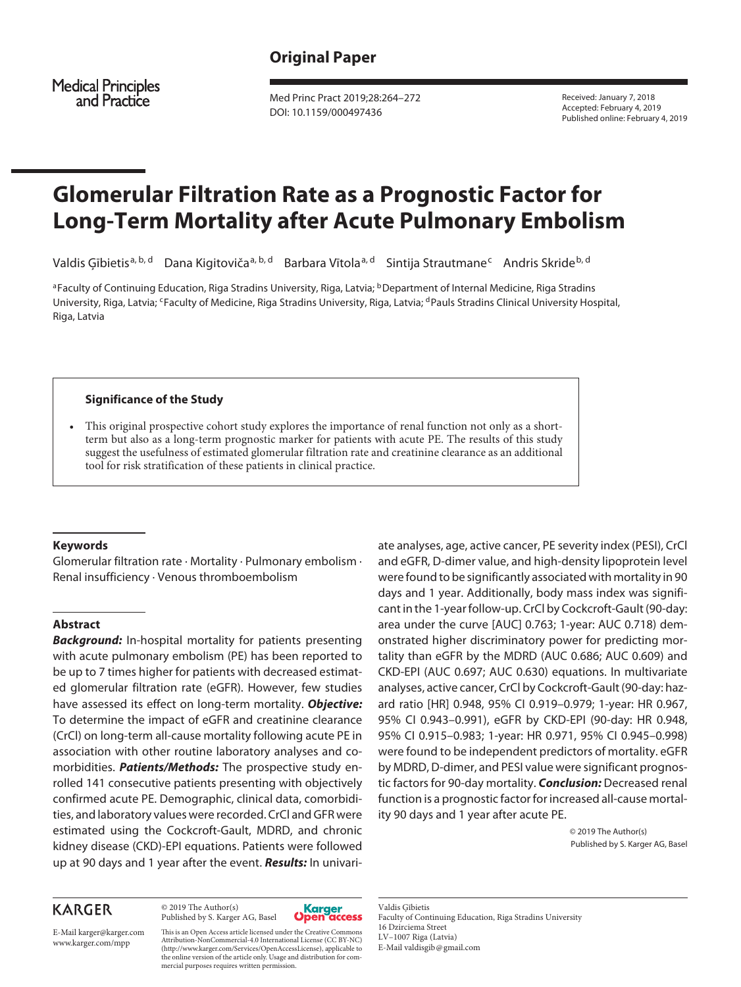**Medical Principles** and Practice

Med Princ Pract 2019;28:264–272 DOI: 10.1159/000497436

Received: January 7, 2018 Accepted: February 4, 2019 Published online: February 4, 2019

# **Glomerular Filtration Rate as a Prognostic Factor for Long-Term Mortality after Acute Pulmonary Embolism**

Valdis Ģībietis<sup>a, b, d</sup> Dana Kigitoviča<sup>a, b, d</sup> Barbara Vītola<sup>a, d</sup> Sintija Strautmane<sup>c</sup> Andris Skride<sup>b, d</sup>

<sup>a</sup>Faculty of Continuing Education, Riga Stradins University, Riga, Latvia; <sup>b</sup>Department of Internal Medicine, Riga Stradins University, Riga, Latvia; <sup>c</sup>Faculty of Medicine, Riga Stradins University, Riga, Latvia; <sup>d</sup>Pauls Stradins Clinical University Hospital, Riga, Latvia

## **Significance of the Study**

This original prospective cohort study explores the importance of renal function not only as a shortterm but also as a long-term prognostic marker for patients with acute PE. The results of this study suggest the usefulness of estimated glomerular filtration rate and creatinine clearance as an additional tool for risk stratification of these patients in clinical practice.

#### **Keywords**

Glomerular filtration rate · Mortality · Pulmonary embolism · Renal insufficiency · Venous thromboembolism

## **Abstract**

*Background:* In-hospital mortality for patients presenting with acute pulmonary embolism (PE) has been reported to be up to 7 times higher for patients with decreased estimated glomerular filtration rate (eGFR). However, few studies have assessed its effect on long-term mortality. *Objective:* To determine the impact of eGFR and creatinine clearance (CrCl) on long-term all-cause mortality following acute PE in association with other routine laboratory analyses and comorbidities. *Patients/Methods:* The prospective study enrolled 141 consecutive patients presenting with objectively confirmed acute PE. Demographic, clinical data, comorbidities, and laboratory values were recorded. CrCl and GFR were estimated using the Cockcroft-Gault, MDRD, and chronic kidney disease (CKD)-EPI equations. Patients were followed up at 90 days and 1 year after the event. *Results:* In univari-

# **KARGER**

© 2019 The Author(s) Published by S. Karger AG, Basel



E-Mail karger@karger.com www.karger.com/mpp

This is an Open Access article licensed under the Creative Commons Attribution-NonCommercial-4.0 International License (CC BY-NC) (http://www.karger.com/Services/OpenAccessLicense), applicable to the online version of the article only. Usage and distribution for commercial purposes requires written permission.

ate analyses, age, active cancer, PE severity index (PESI), CrCl and eGFR, D-dimer value, and high-density lipoprotein level were found to be significantly associated with mortality in 90 days and 1 year. Additionally, body mass index was significant in the 1-year follow-up. CrCl by Cockcroft-Gault (90-day: area under the curve [AUC] 0.763; 1-year: AUC 0.718) demonstrated higher discriminatory power for predicting mortality than eGFR by the MDRD (AUC 0.686; AUC 0.609) and CKD-EPI (AUC 0.697; AUC 0.630) equations. In multivariate analyses, active cancer, CrCl by Cockcroft-Gault (90-day: hazard ratio [HR] 0.948, 95% CI 0.919–0.979; 1-year: HR 0.967, 95% CI 0.943–0.991), eGFR by CKD-EPI (90-day: HR 0.948, 95% CI 0.915–0.983; 1-year: HR 0.971, 95% CI 0.945–0.998) were found to be independent predictors of mortality. eGFR by MDRD, D-dimer, and PESI value were significant prognostic factors for 90-day mortality. *Conclusion:* Decreased renal function is a prognostic factor for increased all-cause mortality 90 days and 1 year after acute PE.

> © 2019 The Author(s) Published by S. Karger AG, Basel

Valdis Ģībietis Faculty of Continuing Education, Riga Stradins University 16 Dzirciema Street LV–1007 Riga (Latvia) E-Mail valdisgib@gmail.com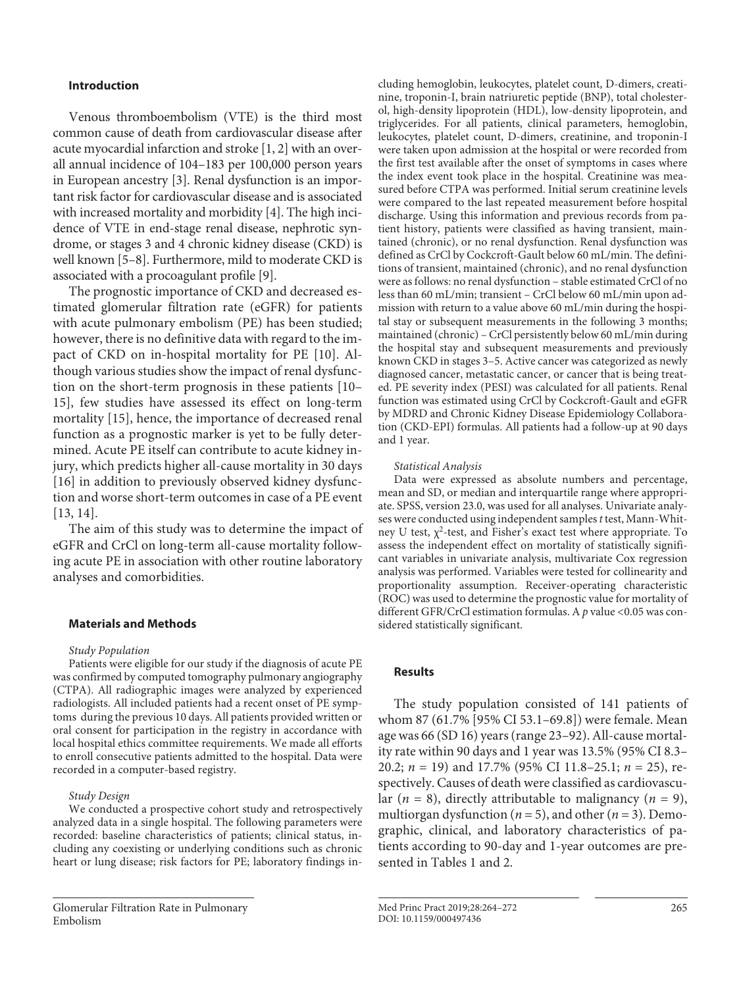## **Introduction**

Venous thromboembolism (VTE) is the third most common cause of death from cardiovascular disease after acute myocardial infarction and stroke [1, 2] with an overall annual incidence of 104–183 per 100,000 person years in European ancestry [3]. Renal dysfunction is an important risk factor for cardiovascular disease and is associated with increased mortality and morbidity [4]. The high incidence of VTE in end-stage renal disease, nephrotic syndrome, or stages 3 and 4 chronic kidney disease (CKD) is well known [5–8]. Furthermore, mild to moderate CKD is associated with a procoagulant profile [9].

The prognostic importance of CKD and decreased estimated glomerular filtration rate (eGFR) for patients with acute pulmonary embolism (PE) has been studied; however, there is no definitive data with regard to the impact of CKD on in-hospital mortality for PE [10]. Although various studies show the impact of renal dysfunction on the short-term prognosis in these patients [10– 15], few studies have assessed its effect on long-term mortality [15], hence, the importance of decreased renal function as a prognostic marker is yet to be fully determined. Acute PE itself can contribute to acute kidney injury, which predicts higher all-cause mortality in 30 days [16] in addition to previously observed kidney dysfunction and worse short-term outcomes in case of a PE event [13, 14].

The aim of this study was to determine the impact of eGFR and CrCl on long-term all-cause mortality following acute PE in association with other routine laboratory analyses and comorbidities.

## **Materials and Methods**

#### *Study Population*

Patients were eligible for our study if the diagnosis of acute PE was confirmed by computed tomography pulmonary angiography (CTPA). All radiographic images were analyzed by experienced radiologists. All included patients had a recent onset of PE symptoms during the previous 10 days. All patients provided written or oral consent for participation in the registry in accordance with local hospital ethics committee requirements. We made all efforts to enroll consecutive patients admitted to the hospital. Data were recorded in a computer-based registry.

## *Study Design*

We conducted a prospective cohort study and retrospectively analyzed data in a single hospital. The following parameters were recorded: baseline characteristics of patients; clinical status, including any coexisting or underlying conditions such as chronic heart or lung disease; risk factors for PE; laboratory findings in-

Glomerular Filtration Rate in Pulmonary Embolism

cluding hemoglobin, leukocytes, platelet count, D-dimers, creatinine, troponin-I, brain natriuretic peptide (BNP), total cholesterol, high-density lipoprotein (HDL), low-density lipoprotein, and triglycerides. For all patients, clinical parameters, hemoglobin, leukocytes, platelet count, D-dimers, creatinine, and troponin-I were taken upon admission at the hospital or were recorded from the first test available after the onset of symptoms in cases where the index event took place in the hospital. Creatinine was measured before CTPA was performed. Initial serum creatinine levels were compared to the last repeated measurement before hospital discharge. Using this information and previous records from patient history, patients were classified as having transient, maintained (chronic), or no renal dysfunction. Renal dysfunction was defined as CrCl by Cockcroft-Gault below 60 mL/min. The definitions of transient, maintained (chronic), and no renal dysfunction were as follows: no renal dysfunction – stable estimated CrCl of no less than 60 mL/min; transient – CrCl below 60 mL/min upon admission with return to a value above 60 mL/min during the hospital stay or subsequent measurements in the following 3 months; maintained (chronic) – CrCl persistently below 60 mL/min during the hospital stay and subsequent measurements and previously known CKD in stages 3–5. Active cancer was categorized as newly diagnosed cancer, metastatic cancer, or cancer that is being treated. PE severity index (PESI) was calculated for all patients. Renal function was estimated using CrCl by Cockcroft-Gault and eGFR by MDRD and Chronic Kidney Disease Epidemiology Collaboration (CKD-EPI) formulas. All patients had a follow-up at 90 days and 1 year.

#### *Statistical Analysis*

Data were expressed as absolute numbers and percentage, mean and SD, or median and interquartile range where appropriate. SPSS, version 23.0, was used for all analyses. Univariate analyses were conducted using independent samples *t* test, Mann-Whitney U test,  $\chi^2$ -test, and Fisher's exact test where appropriate. To assess the independent effect on mortality of statistically significant variables in univariate analysis, multivariate Cox regression analysis was performed. Variables were tested for collinearity and proportionality assumption. Receiver-operating characteristic (ROC) was used to determine the prognostic value for mortality of different GFR/CrCl estimation formulas. A p value <0.05 was considered statistically significant.

## **Results**

The study population consisted of 141 patients of whom 87 (61.7% [95% CI 53.1–69.8]) were female. Mean age was 66 (SD 16) years (range 23–92). All-cause mortality rate within 90 days and 1 year was 13.5% (95% CI 8.3– 20.2; *n* = 19) and 17.7% (95% CI 11.8–25.1; *n* = 25), respectively. Causes of death were classified as cardiovascular  $(n = 8)$ , directly attributable to malignancy  $(n = 9)$ , multiorgan dysfunction ( $n = 5$ ), and other ( $n = 3$ ). Demographic, clinical, and laboratory characteristics of patients according to 90-day and 1-year outcomes are presented in Tables 1 and 2.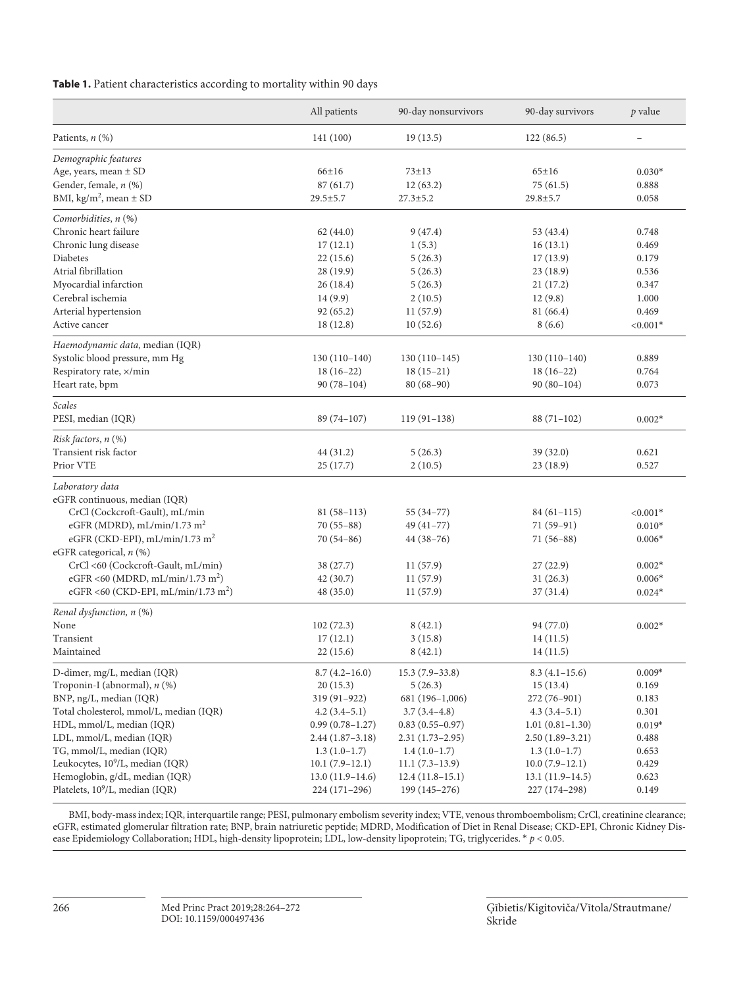## **Table 1.** Patient characteristics according to mortality within 90 days

|                                                 | All patients        | 90-day nonsurvivors | 90-day survivors    | $p$ value  |
|-------------------------------------------------|---------------------|---------------------|---------------------|------------|
| Patients, n (%)                                 | 141 (100)           | 19(13.5)            | 122(86.5)           |            |
| Demographic features                            |                     |                     |                     |            |
| Age, years, mean ± SD                           | 66±16               | $73 + 13$           | $65 \pm 16$         | $0.030*$   |
| Gender, female, n (%)                           | 87(61.7)            | 12(63.2)            | 75 (61.5)           | 0.888      |
| BMI, $\text{kg/m}^2$ , mean $\pm$ SD            | $29.5 \pm 5.7$      | $27.3 \pm 5.2$      | $29.8 \pm 5.7$      | 0.058      |
| Comorbidities, n (%)                            |                     |                     |                     |            |
| Chronic heart failure                           | 62(44.0)            | 9(47.4)             | 53 (43.4)           | 0.748      |
| Chronic lung disease                            | 17(12.1)            | 1(5.3)              | 16(13.1)            | 0.469      |
| Diabetes                                        | 22(15.6)            | 5(26.3)             | 17(13.9)            | 0.179      |
| Atrial fibrillation                             | 28 (19.9)           | 5(26.3)             | 23(18.9)            | 0.536      |
| Myocardial infarction                           | 26(18.4)            | 5(26.3)             | 21(17.2)            | 0.347      |
| Cerebral ischemia                               | 14 (9.9)            | 2(10.5)             | 12(9.8)             | 1.000      |
| Arterial hypertension                           | 92 (65.2)           | 11(57.9)            | 81 (66.4)           | 0.469      |
| Active cancer                                   | 18 (12.8)           | 10(52.6)            | 8(6.6)              | $< 0.001*$ |
| Haemodynamic data, median (IQR)                 |                     |                     |                     |            |
| Systolic blood pressure, mm Hg                  | $130(110-140)$      | $130(110-145)$      | $130(110-140)$      | 0.889      |
| Respiratory rate, x/min                         | $18(16-22)$         | $18(15-21)$         | $18(16-22)$         | 0.764      |
| Heart rate, bpm                                 | $90(78-104)$        | $80(68-90)$         | $90(80-104)$        | 0.073      |
| Scales                                          |                     |                     |                     |            |
| PESI, median (IQR)                              | 89 (74-107)         | $119(91-138)$       | $88(71-102)$        | $0.002*$   |
| Risk factors, n (%)                             |                     |                     |                     |            |
| Transient risk factor                           | 44 (31.2)           | 5(26.3)             | 39(32.0)            | 0.621      |
| Prior VTE                                       | 25(17.7)            | 2(10.5)             | 23(18.9)            | 0.527      |
| Laboratory data                                 |                     |                     |                     |            |
| eGFR continuous, median (IQR)                   |                     |                     |                     |            |
| CrCl (Cockcroft-Gault), mL/min                  | $81(58-113)$        | $55(34-77)$         | $84(61-115)$        | $< 0.001*$ |
| eGFR (MDRD), mL/min/1.73 m <sup>2</sup>         | $70(55-88)$         | $49(41-77)$         | 71 (59-91)          | $0.010*$   |
| eGFR (CKD-EPI), mL/min/1.73 m <sup>2</sup>      | $70(54-86)$         | $44(38-76)$         | $71(56-88)$         | $0.006*$   |
| eGFR categorical, n (%)                         |                     |                     |                     |            |
| CrCl <60 (Cockcroft-Gault, mL/min)              | 38 (27.7)           | 11(57.9)            | 27(22.9)            | $0.002*$   |
| eGFR <60 (MDRD, mL/min/1.73 m <sup>2</sup> )    | 42(30.7)            | 11(57.9)            | 31(26.3)            | $0.006*$   |
| eGFR <60 (CKD-EPI, mL/min/1.73 m <sup>2</sup> ) | 48 (35.0)           | 11(57.9)            | 37(31.4)            | $0.024*$   |
| Renal dysfunction, n (%)                        |                     |                     |                     |            |
| None                                            | 102(72.3)           | 8(42.1)             | 94 (77.0)           | $0.002*$   |
| Transient                                       | 17(12.1)            | 3(15.8)             | 14(11.5)            |            |
| Maintained                                      | 22 (15.6)           | 8(42.1)             | 14(11.5)            |            |
| D-dimer, mg/L, median (IQR)                     | $8.7(4.2 - 16.0)$   | $15.3(7.9-33.8)$    | $8.3(4.1-15.6)$     | $0.009*$   |
| Troponin-I (abnormal), n (%)                    | 20(15.3)            | 5(26.3)             | 15(13.4)            | 0.169      |
| BNP, ng/L, median (IQR)                         | 319 (91-922)        | 681 (196-1,006)     | 272 (76-901)        | 0.183      |
| Total cholesterol, mmol/L, median (IQR)         | $4.2(3.4-5.1)$      | $3.7(3.4-4.8)$      | $4.3(3.4-5.1)$      | 0.301      |
| HDL, mmol/L, median (IQR)                       | $0.99(0.78 - 1.27)$ | $0.83(0.55 - 0.97)$ | $1.01(0.81-1.30)$   | $0.019*$   |
| LDL, mmol/L, median (IQR)                       | $2.44(1.87-3.18)$   | $2.31(1.73-2.95)$   | $2.50(1.89-3.21)$   | 0.488      |
| TG, mmol/L, median (IQR)                        | $1.3(1.0-1.7)$      | $1.4(1.0-1.7)$      | $1.3(1.0-1.7)$      | 0.653      |
| Leukocytes, 10 <sup>9</sup> /L, median (IQR)    | $10.1 (7.9 - 12.1)$ | $11.1 (7.3 - 13.9)$ | $10.0 (7.9 - 12.1)$ | 0.429      |
| Hemoglobin, g/dL, median (IQR)                  | $13.0(11.9-14.6)$   | $12.4(11.8-15.1)$   | $13.1(11.9-14.5)$   | 0.623      |
| Platelets, 10 <sup>9</sup> /L, median (IQR)     | $224(171-296)$      | 199 (145-276)       | 227 (174-298)       | 0.149      |

BMI, body-mass index; IQR, interquartile range; PESI, pulmonary embolism severity index; VTE, venous thromboembolism; CrCl, creatinine clearance; eGFR, estimated glomerular filtration rate; BNP, brain natriuretic peptide; MDRD, Modification of Diet in Renal Disease; CKD-EPI, Chronic Kidney Disease Epidemiology Collaboration; HDL, high-density lipoprotein; LDL, low-density lipoprotein; TG, triglycerides. \* *p* < 0.05.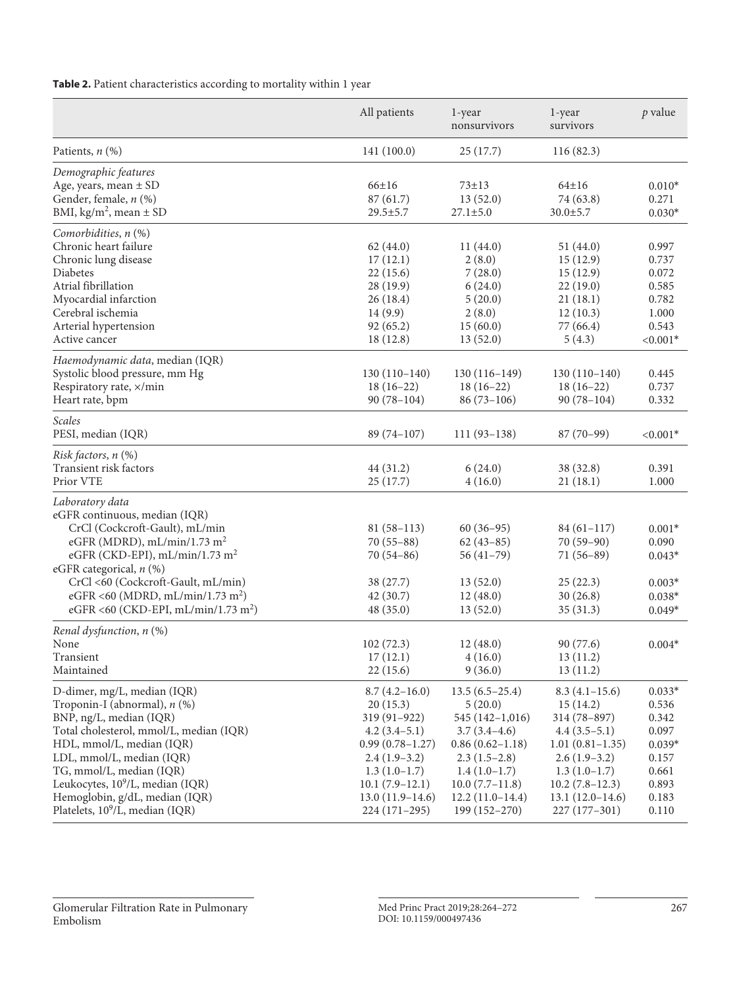**Table 2.** Patient characteristics according to mortality within 1 year

|                                                                                                                                                                                                                                                                                                                                                          | All patients                                                                                                                                                                           | 1-year<br>nonsurvivors                                                                                                                                                                   | 1-year<br>survivors                                                                                                                                                               | p value                                                                                      |
|----------------------------------------------------------------------------------------------------------------------------------------------------------------------------------------------------------------------------------------------------------------------------------------------------------------------------------------------------------|----------------------------------------------------------------------------------------------------------------------------------------------------------------------------------------|------------------------------------------------------------------------------------------------------------------------------------------------------------------------------------------|-----------------------------------------------------------------------------------------------------------------------------------------------------------------------------------|----------------------------------------------------------------------------------------------|
| Patients, $n$ $(\%)$                                                                                                                                                                                                                                                                                                                                     | 141 (100.0)                                                                                                                                                                            | 25(17.7)                                                                                                                                                                                 | 116 (82.3)                                                                                                                                                                        |                                                                                              |
| Demographic features<br>Age, years, mean $\pm$ SD<br>Gender, female, n (%)<br>BMI, kg/m <sup>2</sup> , mean $\pm$ SD                                                                                                                                                                                                                                     | $66 \pm 16$<br>87(61.7)<br>$29.5 \pm 5.7$                                                                                                                                              | $73 \pm 13$<br>13(52.0)<br>$27.1 \pm 5.0$                                                                                                                                                | $64 \pm 16$<br>74 (63.8)<br>$30.0 \pm 5.7$                                                                                                                                        | $0.010*$<br>0.271<br>$0.030*$                                                                |
| Comorbidities, $n$ $(\%)$<br>Chronic heart failure<br>Chronic lung disease<br>Diabetes<br>Atrial fibrillation<br>Myocardial infarction<br>Cerebral ischemia<br>Arterial hypertension<br>Active cancer                                                                                                                                                    | 62(44.0)<br>17(12.1)<br>22(15.6)<br>28 (19.9)<br>26(18.4)<br>14(9.9)<br>92(65.2)<br>18(12.8)                                                                                           | 11(44.0)<br>2(8.0)<br>7(28.0)<br>6(24.0)<br>5(20.0)<br>2(8.0)<br>15(60.0)<br>13(52.0)                                                                                                    | 51(44.0)<br>15(12.9)<br>15(12.9)<br>22(19.0)<br>21(18.1)<br>12(10.3)<br>77 (66.4)<br>5(4.3)                                                                                       | 0.997<br>0.737<br>0.072<br>0.585<br>0.782<br>1.000<br>0.543<br>${<}0.001*$                   |
| Haemodynamic data, median (IQR)<br>Systolic blood pressure, mm Hg<br>Respiratory rate, x/min<br>Heart rate, bpm                                                                                                                                                                                                                                          | $130(110-140)$<br>$18(16-22)$<br>$90(78-104)$                                                                                                                                          | $130(116-149)$<br>$18(16-22)$<br>$86(73-106)$                                                                                                                                            | $130(110-140)$<br>$18(16-22)$<br>$90(78-104)$                                                                                                                                     | 0.445<br>0.737<br>0.332                                                                      |
| Scales<br>PESI, median (IQR)                                                                                                                                                                                                                                                                                                                             | $89(74-107)$                                                                                                                                                                           | $111(93-138)$                                                                                                                                                                            | $87(70-99)$                                                                                                                                                                       | $< 0.001*$                                                                                   |
| Risk factors, n (%)<br>Transient risk factors<br>Prior VTE                                                                                                                                                                                                                                                                                               | 44 (31.2)<br>25(17.7)                                                                                                                                                                  | 6(24.0)<br>4(16.0)                                                                                                                                                                       | 38 (32.8)<br>21(18.1)                                                                                                                                                             | 0.391<br>1.000                                                                               |
| Laboratory data<br>eGFR continuous, median (IQR)<br>CrCl (Cockcroft-Gault), mL/min<br>eGFR (MDRD), mL/min/1.73 m <sup>2</sup><br>eGFR (CKD-EPI), mL/min/1.73 m <sup>2</sup><br>eGFR categorical, n (%)<br>CrCl <60 (Cockcroft-Gault, mL/min)<br>eGFR <60 (MDRD, mL/min/1.73 m <sup>2</sup> )<br>eGFR <60 (CKD-EPI, mL/min/1.73 m <sup>2</sup> )          | $81(58-113)$<br>$70(55-88)$<br>$70(54-86)$<br>38 (27.7)<br>42(30.7)<br>48(35.0)                                                                                                        | $60(36-95)$<br>$62(43-85)$<br>$56(41-79)$<br>13(52.0)<br>12(48.0)<br>13(52.0)                                                                                                            | $84(61-117)$<br>$70(59-90)$<br>$71(56-89)$<br>25(22.3)<br>30(26.8)<br>35(31.3)                                                                                                    | $0.001*$<br>0.090<br>$0.043*$<br>$0.003*$<br>$0.038*$<br>$0.049*$                            |
| Renal dysfunction, $n$ $(\%)$<br>None<br>Transient<br>Maintained                                                                                                                                                                                                                                                                                         | 102(72.3)<br>17(12.1)<br>22(15.6)                                                                                                                                                      | 12(48.0)<br>4(16.0)<br>9(36.0)                                                                                                                                                           | 90(77.6)<br>13(11.2)<br>13(11.2)                                                                                                                                                  | $0.004*$                                                                                     |
| D-dimer, mg/L, median (IQR)<br>Troponin-I (abnormal), n (%)<br>BNP, ng/L, median (IQR)<br>Total cholesterol, mmol/L, median (IQR)<br>HDL, mmol/L, median (IQR)<br>LDL, mmol/L, median (IQR)<br>TG, mmol/L, median (IQR)<br>Leukocytes, 10 <sup>9</sup> /L, median (IQR)<br>Hemoglobin, g/dL, median (IQR)<br>Platelets, 10 <sup>9</sup> /L, median (IQR) | $8.7(4.2 - 16.0)$<br>20(15.3)<br>319 (91-922)<br>$4.2(3.4-5.1)$<br>$0.99(0.78-1.27)$<br>$2.4(1.9-3.2)$<br>$1.3(1.0-1.7)$<br>$10.1 (7.9 - 12.1)$<br>$13.0(11.9-14.6)$<br>$224(171-295)$ | $13.5(6.5-25.4)$<br>5(20.0)<br>545 (142-1,016)<br>$3.7(3.4-4.6)$<br>$0.86(0.62 - 1.18)$<br>$2.3(1.5-2.8)$<br>$1.4(1.0-1.7)$<br>$10.0(7.7-11.8)$<br>$12.2(11.0-14.4)$<br>$199(152 - 270)$ | $8.3(4.1-15.6)$<br>15(14.2)<br>314 (78–897)<br>$4.4(3.5-5.1)$<br>$1.01(0.81-1.35)$<br>$2.6(1.9-3.2)$<br>$1.3(1.0-1.7)$<br>$10.2(7.8-12.3)$<br>$13.1(12.0-14.6)$<br>$227(177-301)$ | $0.033*$<br>0.536<br>0.342<br>0.097<br>$0.039*$<br>0.157<br>0.661<br>0.893<br>0.183<br>0.110 |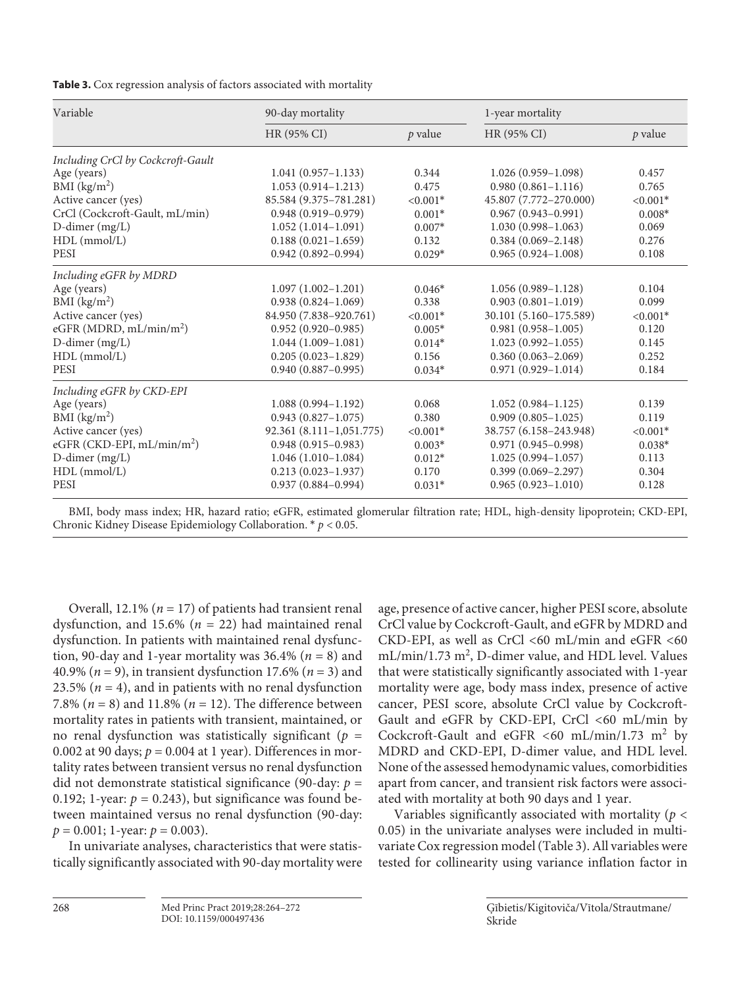| Variable                          | 90-day mortality             |            | 1-year mortality       |            |
|-----------------------------------|------------------------------|------------|------------------------|------------|
|                                   | HR (95% CI)                  | p value    | HR (95% CI)            | p value    |
| Including CrCl by Cockcroft-Gault |                              |            |                        |            |
| Age (years)                       | $1.041(0.957-1.133)$         | 0.344      | $1.026(0.959 - 1.098)$ | 0.457      |
| BMI (kg/m <sup>2</sup> )          | $1.053(0.914-1.213)$         | 0.475      | $0.980(0.861 - 1.116)$ | 0.765      |
| Active cancer (yes)               | 85.584 (9.375-781.281)       | $< 0.001*$ | 45.807 (7.772-270.000) | $< 0.001*$ |
| CrCl (Cockcroft-Gault, mL/min)    | $0.948(0.919 - 0.979)$       | $0.001*$   | $0.967(0.943 - 0.991)$ | $0.008*$   |
| D-dimer (mg/L)                    | $1.052(1.014 - 1.091)$       | $0.007*$   | $1.030(0.998 - 1.063)$ | 0.069      |
| $HDL$ (mmol/L)                    | $0.188(0.021-1.659)$         | 0.132      | $0.384(0.069 - 2.148)$ | 0.276      |
| PESI                              | $0.942(0.892 - 0.994)$       | $0.029*$   | $0.965(0.924 - 1.008)$ | 0.108      |
| Including eGFR by MDRD            |                              |            |                        |            |
| Age (years)                       | $1.097(1.002 - 1.201)$       | $0.046*$   | $1.056(0.989 - 1.128)$ | 0.104      |
| BMI $(kg/m2)$                     | $0.938(0.824 - 1.069)$       | 0.338      | $0.903(0.801 - 1.019)$ | 0.099      |
| Active cancer (yes)               | 84.950 (7.838-920.761)       | $< 0.001*$ | 30.101 (5.160-175.589) | $< 0.001*$ |
| eGFR (MDRD, $mL/min/m2$ )         | $0.952(0.920 - 0.985)$       | $0.005*$   | $0.981(0.958 - 1.005)$ | 0.120      |
| $D$ -dimer (mg/L)                 | $1.044(1.009 - 1.081)$       | $0.014*$   | $1.023(0.992 - 1.055)$ | 0.145      |
| HDL (mmol/L)                      | $0.205(0.023 - 1.829)$       | 0.156      | $0.360(0.063 - 2.069)$ | 0.252      |
| <b>PESI</b>                       | $0.940(0.887 - 0.995)$       | $0.034*$   | $0.971(0.929 - 1.014)$ | 0.184      |
| Including eGFR by CKD-EPI         |                              |            |                        |            |
| Age (years)                       | $1.088(0.994 - 1.192)$       | 0.068      | $1.052(0.984 - 1.125)$ | 0.139      |
| BMI $(kg/m2)$                     | $0.943(0.827 - 1.075)$       | 0.380      | $0.909(0.805 - 1.025)$ | 0.119      |
| Active cancer (yes)               | $92.361 (8.111 - 1,051.775)$ | $< 0.001*$ | 38.757 (6.158-243.948) | $< 0.001*$ |
| eGFR (CKD-EPI, $mL/min/m2$ )      | $0.948(0.915 - 0.983)$       | $0.003*$   | $0.971(0.945 - 0.998)$ | $0.038*$   |
| D-dimer (mg/L)                    | $1.046(1.010-1.084)$         | $0.012*$   | $1.025(0.994 - 1.057)$ | 0.113      |
| $HDL$ (mmol/L)                    | $0.213(0.023 - 1.937)$       | 0.170      | $0.399(0.069 - 2.297)$ | 0.304      |
| <b>PESI</b>                       | $0.937(0.884 - 0.994)$       | $0.031*$   | $0.965(0.923 - 1.010)$ | 0.128      |

BMI, body mass index; HR, hazard ratio; eGFR, estimated glomerular filtration rate; HDL, high-density lipoprotein; CKD-EPI, Chronic Kidney Disease Epidemiology Collaboration. \* *p* < 0.05.

Overall, 12.1% (*n* = 17) of patients had transient renal dysfunction, and 15.6% (*n* = 22) had maintained renal dysfunction. In patients with maintained renal dysfunction, 90-day and 1-year mortality was  $36.4\%$  ( $n = 8$ ) and 40.9% (*n* = 9), in transient dysfunction 17.6% (*n* = 3) and 23.5% ( $n = 4$ ), and in patients with no renal dysfunction 7.8% (*n* = 8) and 11.8% (*n* = 12). The difference between mortality rates in patients with transient, maintained, or no renal dysfunction was statistically significant (*p* = 0.002 at 90 days;  $p = 0.004$  at 1 year). Differences in mortality rates between transient versus no renal dysfunction did not demonstrate statistical significance (90-day: *p* = 0.192; 1-year:  $p = 0.243$ ), but significance was found between maintained versus no renal dysfunction (90-day:  $p = 0.001$ ; 1-year:  $p = 0.003$ ).

In univariate analyses, characteristics that were statistically significantly associated with 90-day mortality were age, presence of active cancer, higher PESI score, absolute CrCl value by Cockcroft-Gault, and eGFR by MDRD and CKD-EPI, as well as CrCl <60 mL/min and eGFR <60 mL/min/1.73 m<sup>2</sup>, D-dimer value, and HDL level. Values that were statistically significantly associated with 1-year mortality were age, body mass index, presence of active cancer, PESI score, absolute CrCl value by Cockcroft-Gault and eGFR by CKD-EPI, CrCl <60 mL/min by Cockcroft-Gault and eGFR <60 mL/min/1.73  $m^2$  by MDRD and CKD-EPI, D-dimer value, and HDL level. None of the assessed hemodynamic values, comorbidities apart from cancer, and transient risk factors were associated with mortality at both 90 days and 1 year.

Variables significantly associated with mortality (*p* < 0.05) in the univariate analyses were included in multivariate Cox regression model (Table 3). All variables were tested for collinearity using variance inflation factor in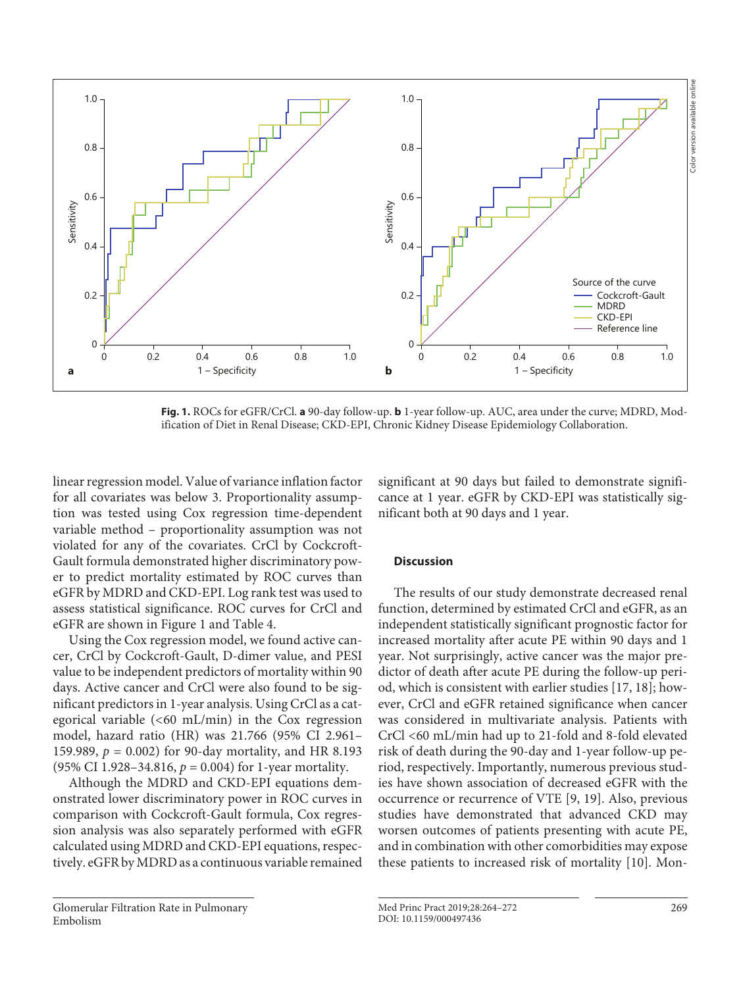

**Fig. 1.** ROCs for eGFR/CrCl. **a** 90-day follow-up. **b** 1-year follow-up. AUC, area under the curve; MDRD, Modification of Diet in Renal Disease; CKD-EPI, Chronic Kidney Disease Epidemiology Collaboration.

linear regression model. Value of variance inflation factor for all covariates was below 3. Proportionality assumption was tested using Cox regression time-dependent variable method – proportionality assumption was not violated for any of the covariates. CrCl by Cockcroft-Gault formula demonstrated higher discriminatory power to predict mortality estimated by ROC curves than eGFR by MDRD and CKD-EPI. Log rank test was used to assess statistical significance. ROC curves for CrCl and eGFR are shown in Figure 1 and Table 4.

Using the Cox regression model, we found active cancer, CrCl by Cockcroft-Gault, D-dimer value, and PESI value to be independent predictors of mortality within 90 days. Active cancer and CrCl were also found to be significant predictors in 1-year analysis. Using CrCl as a categorical variable (<60 mL/min) in the Cox regression model, hazard ratio (HR) was 21.766 (95% CI 2.961– 159.989,  $p = 0.002$ ) for 90-day mortality, and HR 8.193 (95% CI 1.928–34.816,  $p = 0.004$ ) for 1-year mortality.

Although the MDRD and CKD-EPI equations demonstrated lower discriminatory power in ROC curves in comparison with Cockcroft-Gault formula, Cox regression analysis was also separately performed with eGFR calculated using MDRD and CKD-EPI equations, respectively. eGFR by MDRD as a continuous variable remained

Glomerular Filtration Rate in Pulmonary Embolism

significant at 90 days but failed to demonstrate significance at 1 year. eGFR by CKD-EPI was statistically significant both at 90 days and 1 year.

## **Discussion**

The results of our study demonstrate decreased renal function, determined by estimated CrCl and eGFR, as an independent statistically significant prognostic factor for increased mortality after acute PE within 90 days and 1 year. Not surprisingly, active cancer was the major predictor of death after acute PE during the follow-up period, which is consistent with earlier studies [17, 18]; however, CrCl and eGFR retained significance when cancer was considered in multivariate analysis. Patients with CrCl <60 mL/min had up to 21-fold and 8-fold elevated risk of death during the 90-day and 1-year follow-up period, respectively. Importantly, numerous previous studies have shown association of decreased eGFR with the occurrence or recurrence of VTE [9, 19]. Also, previous studies have demonstrated that advanced CKD may worsen outcomes of patients presenting with acute PE, and in combination with other comorbidities may expose these patients to increased risk of mortality [10]. Mon-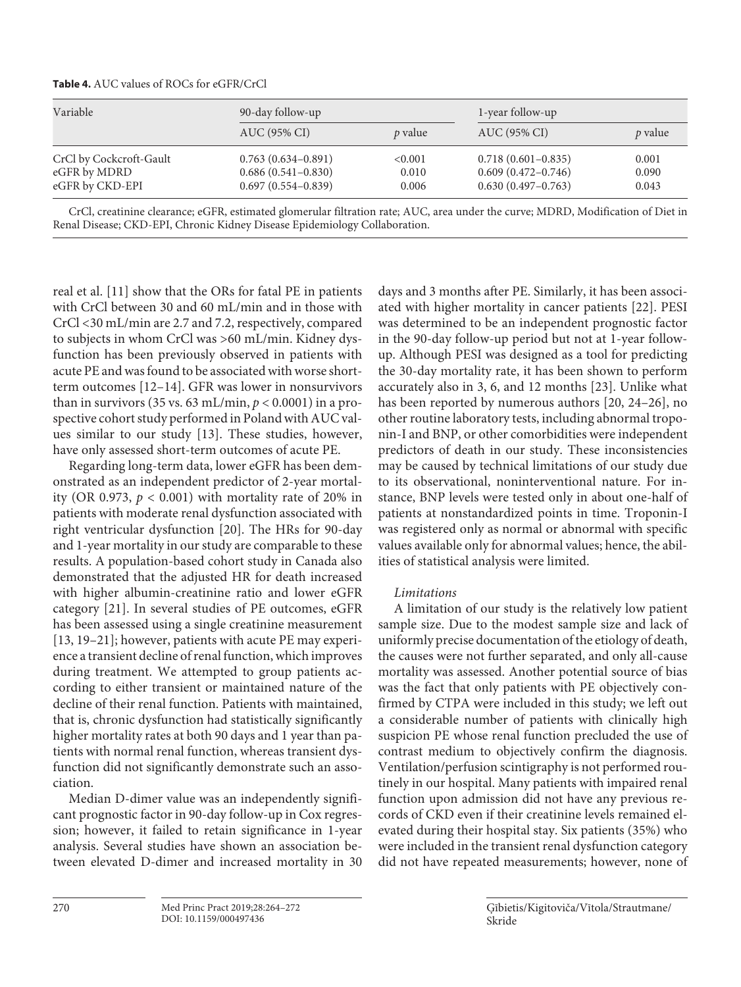**Table 4.** AUC values of ROCs for eGFR/CrCl

| Variable                        | 90-day follow-up                                 |                |                                                  | 1-year follow-up |  |
|---------------------------------|--------------------------------------------------|----------------|--------------------------------------------------|------------------|--|
|                                 | AUC (95% CI)                                     | <i>p</i> value | AUC (95% CI)                                     | <i>p</i> value   |  |
| CrCl by Cockcroft-Gault         | $0.763(0.634 - 0.891)$                           | < 0.001        | $0.718(0.601 - 0.835)$                           | 0.001            |  |
| eGFR by MDRD<br>eGFR by CKD-EPI | $0.686(0.541 - 0.830)$<br>$0.697(0.554 - 0.839)$ | 0.010<br>0.006 | $0.609(0.472 - 0.746)$<br>$0.630(0.497 - 0.763)$ | 0.090<br>0.043   |  |

CrCl, creatinine clearance; eGFR, estimated glomerular filtration rate; AUC, area under the curve; MDRD, Modification of Diet in Renal Disease; CKD-EPI, Chronic Kidney Disease Epidemiology Collaboration.

real et al. [11] show that the ORs for fatal PE in patients with CrCl between 30 and 60 mL/min and in those with CrCl <30 mL/min are 2.7 and 7.2, respectively, compared to subjects in whom CrCl was >60 mL/min. Kidney dysfunction has been previously observed in patients with acute PE and was found to be associated with worse shortterm outcomes [12–14]. GFR was lower in nonsurvivors than in survivors (35 vs. 63 mL/min,  $p < 0.0001$ ) in a prospective cohort study performed in Poland with AUC values similar to our study [13]. These studies, however, have only assessed short-term outcomes of acute PE.

Regarding long-term data, lower eGFR has been demonstrated as an independent predictor of 2-year mortality (OR 0.973,  $p < 0.001$ ) with mortality rate of 20% in patients with moderate renal dysfunction associated with right ventricular dysfunction [20]. The HRs for 90-day and 1-year mortality in our study are comparable to these results. A population-based cohort study in Canada also demonstrated that the adjusted HR for death increased with higher albumin-creatinine ratio and lower eGFR category [21]. In several studies of PE outcomes, eGFR has been assessed using a single creatinine measurement [13, 19–21]; however, patients with acute PE may experience a transient decline of renal function, which improves during treatment. We attempted to group patients according to either transient or maintained nature of the decline of their renal function. Patients with maintained, that is, chronic dysfunction had statistically significantly higher mortality rates at both 90 days and 1 year than patients with normal renal function, whereas transient dysfunction did not significantly demonstrate such an association.

Median D-dimer value was an independently significant prognostic factor in 90-day follow-up in Cox regression; however, it failed to retain significance in 1-year analysis. Several studies have shown an association between elevated D-dimer and increased mortality in 30 days and 3 months after PE. Similarly, it has been associated with higher mortality in cancer patients [22]. PESI was determined to be an independent prognostic factor in the 90-day follow-up period but not at 1-year followup. Although PESI was designed as a tool for predicting the 30-day mortality rate, it has been shown to perform accurately also in 3, 6, and 12 months [23]. Unlike what has been reported by numerous authors [20, 24–26], no other routine laboratory tests, including abnormal troponin-I and BNP, or other comorbidities were independent predictors of death in our study. These inconsistencies may be caused by technical limitations of our study due to its observational, noninterventional nature. For instance, BNP levels were tested only in about one-half of patients at nonstandardized points in time. Troponin-I was registered only as normal or abnormal with specific values available only for abnormal values; hence, the abilities of statistical analysis were limited.

# *Limitations*

A limitation of our study is the relatively low patient sample size. Due to the modest sample size and lack of uniformly precise documentation of the etiology of death, the causes were not further separated, and only all-cause mortality was assessed. Another potential source of bias was the fact that only patients with PE objectively confirmed by CTPA were included in this study; we left out a considerable number of patients with clinically high suspicion PE whose renal function precluded the use of contrast medium to objectively confirm the diagnosis. Ventilation/perfusion scintigraphy is not performed routinely in our hospital. Many patients with impaired renal function upon admission did not have any previous records of CKD even if their creatinine levels remained elevated during their hospital stay. Six patients (35%) who were included in the transient renal dysfunction category did not have repeated measurements; however, none of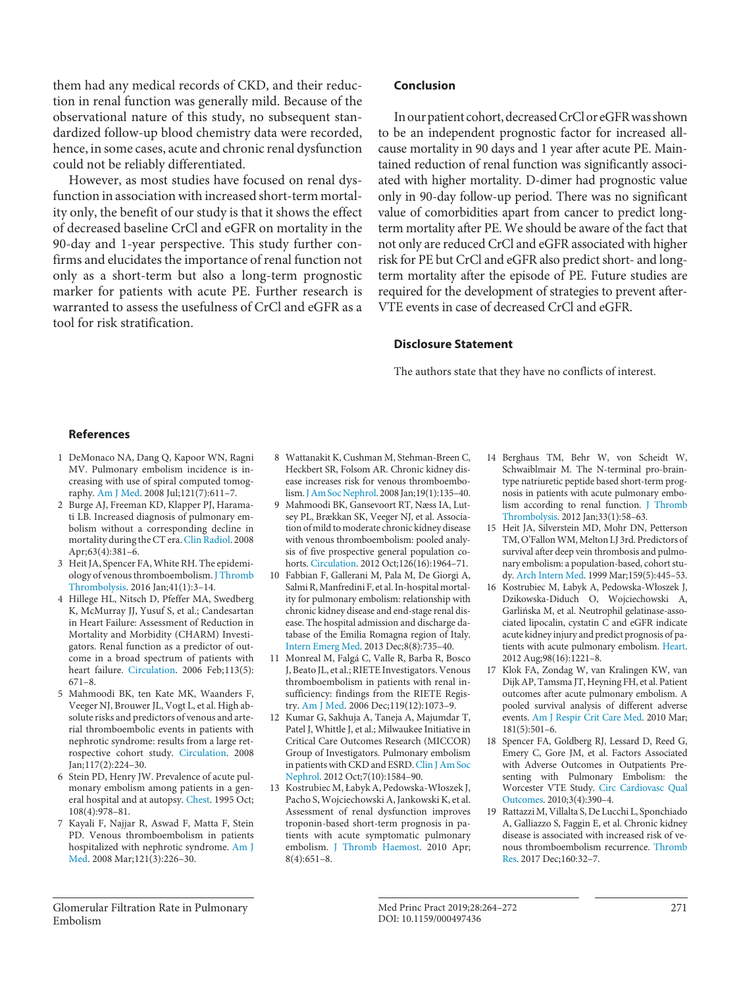them had any medical records of CKD, and their reduction in renal function was generally mild. Because of the observational nature of this study, no subsequent standardized follow-up blood chemistry data were recorded, hence, in some cases, acute and chronic renal dysfunction could not be reliably differentiated.

However, as most studies have focused on renal dysfunction in association with increased short-term mortality only, the benefit of our study is that it shows the effect of decreased baseline CrCl and eGFR on mortality in the 90-day and 1-year perspective. This study further confirms and elucidates the importance of renal function not only as a short-term but also a long-term prognostic marker for patients with acute PE. Further research is warranted to assess the usefulness of CrCl and eGFR as a tool for risk stratification.

## **Conclusion**

In our patient cohort, decreased CrCl or eGFR was shown to be an independent prognostic factor for increased allcause mortality in 90 days and 1 year after acute PE. Maintained reduction of renal function was significantly associated with higher mortality. D-dimer had prognostic value only in 90-day follow-up period. There was no significant value of comorbidities apart from cancer to predict longterm mortality after PE. We should be aware of the fact that not only are reduced CrCl and eGFR associated with higher risk for PE but CrCl and eGFR also predict short- and longterm mortality after the episode of PE. Future studies are required for the development of strategies to prevent after-VTE events in case of decreased CrCl and eGFR.

## **Disclosure Statement**

The authors state that they have no conflicts of interest.

## **References**

- 1 DeMonaco NA, Dang Q, Kapoor WN, Ragni MV. Pulmonary embolism incidence is increasing with use of spiral computed tomography. Am J Med. 2008 Jul;121(7):611–7.
- 2 Burge AJ, Freeman KD, Klapper PJ, Haramati LB. Increased diagnosis of pulmonary embolism without a corresponding decline in mortality during the CT era. Clin Radiol. 2008 Apr;63(4):381–6.
- 3 Heit JA, Spencer FA, White RH. The epidemiology of venous thromboembolism. J Thromb Thrombolysis. 2016 Jan;41(1):3–14.
- 4 Hillege HL, Nitsch D, Pfeffer MA, Swedberg K, McMurray JJ, Yusuf S, et al.; Candesartan in Heart Failure: Assessment of Reduction in Mortality and Morbidity (CHARM) Investigators. Renal function as a predictor of outcome in a broad spectrum of patients with heart failure. Circulation. 2006 Feb;113(5): 671–8.
- 5 Mahmoodi BK, ten Kate MK, Waanders F, Veeger NJ, Brouwer JL, Vogt L, et al. High absolute risks and predictors of venous and arterial thromboembolic events in patients with nephrotic syndrome: results from a large retrospective cohort study. Circulation. 2008 Jan;117(2):224–30.
- 6 Stein PD, Henry JW. Prevalence of acute pulmonary embolism among patients in a general hospital and at autopsy. Chest. 1995 Oct; 108(4):978–81.
- 7 Kayali F, Najjar R, Aswad F, Matta F, Stein PD. Venous thromboembolism in patients hospitalized with nephrotic syndrome. Am J Med. 2008 Mar;121(3):226–30.
- 8 Wattanakit K, Cushman M, Stehman-Breen C, Heckbert SR, Folsom AR. Chronic kidney disease increases risk for venous thromboembolism. J Am Soc Nephrol. 2008 Jan;19(1):135–40.
- 9 Mahmoodi BK, Gansevoort RT, Næss IA, Lutsey PL, Brækkan SK, Veeger NJ, et al. Association of mild to moderate chronic kidney disease with venous thromboembolism: pooled analysis of five prospective general population cohorts. Circulation. 2012 Oct;126(16):1964–71.
- 10 Fabbian F, Gallerani M, Pala M, De Giorgi A, Salmi R, Manfredini F, et al. In-hospital mortality for pulmonary embolism: relationship with chronic kidney disease and end-stage renal disease. The hospital admission and discharge database of the Emilia Romagna region of Italy. Intern Emerg Med. 2013 Dec;8(8):735–40.
- 11 Monreal M, Falgá C, Valle R, Barba R, Bosco J, Beato JL, et al.; RIETE Investigators. Venous thromboembolism in patients with renal insufficiency: findings from the RIETE Registry. Am J Med. 2006 Dec;119(12):1073–9.
- 12 Kumar G, Sakhuja A, Taneja A, Majumdar T, Patel J, Whittle J, et al.; Milwaukee Initiative in Critical Care Outcomes Research (MICCOR) Group of Investigators. Pulmonary embolism in patients with CKD and ESRD. Clin J Am Soc Nephrol. 2012 Oct;7(10):1584–90.
- 13 Kostrubiec M, Łabyk A, Pedowska-Włoszek J, Pacho S, Wojciechowski A, Jankowski K, et al. Assessment of renal dysfunction improves troponin-based short-term prognosis in patients with acute symptomatic pulmonary embolism. J Thromb Haemost. 2010 Apr; 8(4):651–8.
- 14 Berghaus TM, Behr W, von Scheidt W, Schwaiblmair M. The N-terminal pro-braintype natriuretic peptide based short-term prognosis in patients with acute pulmonary embolism according to renal function. J Thromb Thrombolysis. 2012 Jan;33(1):58–63.
- 15 Heit JA, Silverstein MD, Mohr DN, Petterson TM, O'Fallon WM, Melton LJ 3rd. Predictors of survival after deep vein thrombosis and pulmonary embolism: a population-based, cohort study. Arch Intern Med. 1999 Mar;159(5):445–53.
- 16 Kostrubiec M, Łabyk A, Pedowska-Włoszek J, Dzikowska-Diduch O, Wojciechowski A, Garlińska M, et al. Neutrophil gelatinase-associated lipocalin, cystatin C and eGFR indicate acute kidney injury and predict prognosis of patients with acute pulmonary embolism. Heart. 2012 Aug;98(16):1221–8.
- 17 Klok FA, Zondag W, van Kralingen KW, van Dijk AP, Tamsma JT, Heyning FH, et al. Patient outcomes after acute pulmonary embolism. A pooled survival analysis of different adverse events. Am J Respir Crit Care Med. 2010 Mar; 181(5):501–6.
- 18 Spencer FA, Goldberg RJ, Lessard D, Reed G, Emery C, Gore JM, et al. Factors Associated with Adverse Outcomes in Outpatients Presenting with Pulmonary Embolism: the Worcester VTE Study. Circ Cardiovasc Qual Outcomes. 2010;3(4):390–4.
- 19 Rattazzi M, Villalta S, De Lucchi L, Sponchiado A, Galliazzo S, Faggin E, et al. Chronic kidney disease is associated with increased risk of venous thromboembolism recurrence. Thromb Res. 2017 Dec;160:32–7.

Glomerular Filtration Rate in Pulmonary Embolism